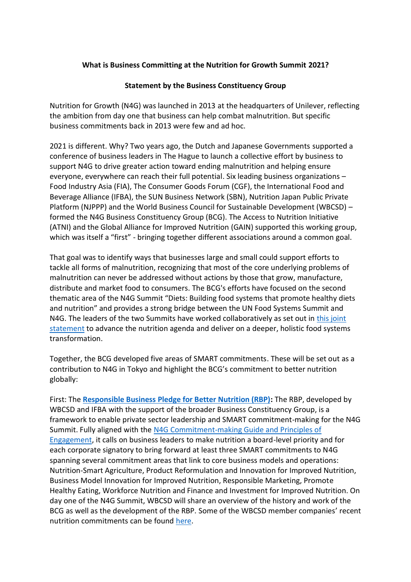## **What is Business Committing at the Nutrition for Growth Summit 2021?**

## **Statement by the Business Constituency Group**

Nutrition for Growth (N4G) was launched in 2013 at the headquarters of Unilever, reflecting the ambition from day one that business can help combat malnutrition. But specific business commitments back in 2013 were few and ad hoc.

2021 is different. Why? Two years ago, the Dutch and Japanese Governments supported a conference of business leaders in The Hague to launch a collective effort by business to support N4G to drive greater action toward ending malnutrition and helping ensure everyone, everywhere can reach their full potential. Six leading business organizations – Food Industry Asia (FIA), The Consumer Goods Forum (CGF), the International Food and Beverage Alliance (IFBA), the SUN Business Network (SBN), Nutrition Japan Public Private Platform (NJPPP) and the World Business Council for Sustainable Development (WBCSD) – formed the N4G Business Constituency Group (BCG). The Access to Nutrition Initiative (ATNI) and the Global Alliance for Improved Nutrition (GAIN) supported this working group, which was itself a "first" - bringing together different associations around a common goal.

That goal was to identify ways that businesses large and small could support efforts to tackle all forms of malnutrition, recognizing that most of the core underlying problems of malnutrition can never be addressed without actions by those that grow, manufacture, distribute and market food to consumers. The BCG's efforts have focused on the second thematic area of the N4G Summit "Diets: Building food systems that promote healthy diets and nutrition" and provides a strong bridge between the UN Food Systems Summit and N4G. The leaders of the two Summits have worked collaboratively as set out in this [joint](https://nutritionforgrowth.org/2021-tokyo-nutrition-for-growth-summit-and-un-food-systems-summit-joint-statement/)  [statement](https://nutritionforgrowth.org/2021-tokyo-nutrition-for-growth-summit-and-un-food-systems-summit-joint-statement/) to advance the nutrition agenda and deliver on a deeper, holistic food systems transformation.

Together, the BCG developed five areas of SMART commitments. These will be set out as a contribution to N4G in Tokyo and highlight the BCG's commitment to better nutrition globally:

First: The **[Responsible Business Pledge for Better Nutrition \(RBP\):](https://docs.wbcsd.org/2021/01/Responsible-Business-Nutrition-Pledge_May-2020.pdf)** The RBP, developed by WBCSD and IFBA with the support of the broader Business Constituency Group, is a framework to enable private sector leadership and SMART commitment-making for the N4G Summit. Fully aligned with the [N4G Commitment-making Guide and Principles of](https://nutritionforgrowth.org/wp-content/uploads/2021/04/CommitmentGuide_4.27.21.pdf)  [Engagement,](https://nutritionforgrowth.org/wp-content/uploads/2021/04/CommitmentGuide_4.27.21.pdf) it calls on business leaders to make nutrition a board-level priority and for each corporate signatory to bring forward at least three SMART commitments to N4G spanning several commitment areas that link to core business models and operations: Nutrition-Smart Agriculture, Product Reformulation and Innovation for Improved Nutrition, Business Model Innovation for Improved Nutrition, Responsible Marketing, Promote Healthy Eating, Workforce Nutrition and Finance and Investment for Improved Nutrition. On day one of the N4G Summit, WBCSD will share an overview of the history and work of the BCG as well as the development of the RBP. Some of the WBCSD member companies' recent nutrition commitments can be found [here.](https://www.wbcsd.org/Overview/News-Insights/WBCSD-insights/Businesses-are-partnering-to-tackle-malnutrition-for-healthy-people-and-a-healthy-planet)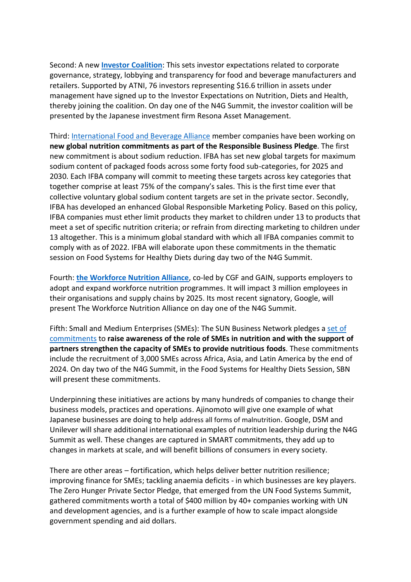Second: A new **[Investor Coalition](https://accesstonutrition.org/investor-signatories/)**: This sets investor expectations related to corporate governance, strategy, lobbying and transparency for food and beverage manufacturers and retailers. Supported by ATNI, 76 investors representing \$16.6 trillion in assets under management have signed up to the Investor Expectations on Nutrition, Diets and Health, thereby joining the coalition. On day one of the N4G Summit, the investor coalition will be presented by the Japanese investment firm Resona Asset Management.

Third: [International Food and Beverage Alliance](https://ifballiance.org/) member companies have been working on **new global nutrition commitments as part of the Responsible Business Pledge**. The first new commitment is about sodium reduction. IFBA has set new global targets for maximum sodium content of packaged foods across some forty food sub-categories, for 2025 and 2030. Each IFBA company will commit to meeting these targets across key categories that together comprise at least 75% of the company's sales. This is the first time ever that collective voluntary global sodium content targets are set in the private sector. Secondly, IFBA has developed an enhanced Global Responsible Marketing Policy. Based on this policy, IFBA companies must ether limit products they market to children under 13 to products that meet a set of specific nutrition criteria; or refrain from directing marketing to children under 13 altogether. This is a minimum global standard with which all IFBA companies commit to comply with as of 2022. IFBA will elaborate upon these commitments in the thematic session on Food Systems for Healthy Diets during day two of the N4G Summit.

Fourth: **[the Workforce Nutrition Alliance](https://workforcenutrition.org/#/home)**, co-led by CGF and GAIN, supports employers to adopt and expand workforce nutrition programmes. It will impact 3 million employees in their organisations and supply chains by 2025. Its most recent signatory, Google, will present The Workforce Nutrition Alliance on day one of the N4G Summit.

Fifth: Small and Medium Enterprises (SMEs): The SUN Business Network pledges a [set of](https://sunbusinessnetwork.org/sbn-pledges-at-the-tokyo-nutrition-for-growth-summit/)  [commitments](https://sunbusinessnetwork.org/sbn-pledges-at-the-tokyo-nutrition-for-growth-summit/) to **raise awareness of the role of SMEs in nutrition and with the support of partners strengthen the capacity of SMEs to provide nutritious foods**. These commitments include the recruitment of 3,000 SMEs across Africa, Asia, and Latin America by the end of 2024. On day two of the N4G Summit, in the Food Systems for Healthy Diets Session, SBN will present these commitments.

Underpinning these initiatives are actions by many hundreds of companies to change their business models, practices and operations. Ajinomoto will give one example of what Japanese businesses are doing to help address all forms of malnutrition. Google, DSM and Unilever will share additional international examples of nutrition leadership during the N4G Summit as well. These changes are captured in SMART commitments, they add up to changes in markets at scale, and will benefit billions of consumers in every society.

There are other areas – fortification, which helps deliver better nutrition resilience; improving finance for SMEs; tackling anaemia deficits - in which businesses are key players. The Zero Hunger Private Sector Pledge, that emerged from the UN Food Systems Summit, gathered commitments worth a total of \$400 million by 40+ companies working with UN and development agencies, and is a further example of how to scale impact alongside government spending and aid dollars.